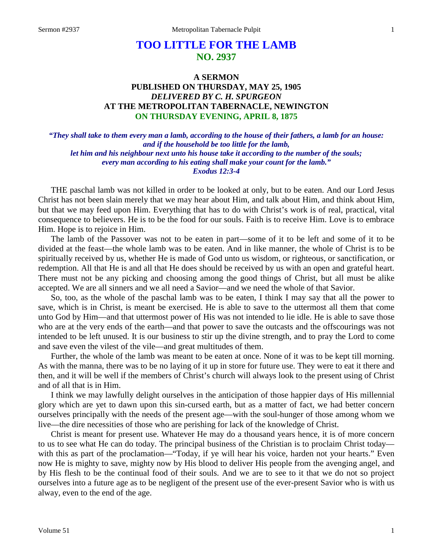## **TOO LITTLE FOR THE LAMB NO. 2937**

## **A SERMON PUBLISHED ON THURSDAY, MAY 25, 1905** *DELIVERED BY C. H. SPURGEON* **AT THE METROPOLITAN TABERNACLE, NEWINGTON ON THURSDAY EVENING, APRIL 8, 1875**

*"They shall take to them every man a lamb, according to the house of their fathers, a lamb for an house: and if the household be too little for the lamb, let him and his neighbour next unto his house take it according to the number of the souls; every man according to his eating shall make your count for the lamb." Exodus 12:3-4*

THE paschal lamb was not killed in order to be looked at only, but to be eaten. And our Lord Jesus Christ has not been slain merely that we may hear about Him, and talk about Him, and think about Him, but that we may feed upon Him. Everything that has to do with Christ's work is of real, practical, vital consequence to believers. He is to be the food for our souls. Faith is to receive Him. Love is to embrace Him. Hope is to rejoice in Him.

The lamb of the Passover was not to be eaten in part—some of it to be left and some of it to be divided at the feast—the whole lamb was to be eaten. And in like manner, the whole of Christ is to be spiritually received by us, whether He is made of God unto us wisdom, or righteous, or sanctification, or redemption. All that He is and all that He does should be received by us with an open and grateful heart. There must not be any picking and choosing among the good things of Christ, but all must be alike accepted. We are all sinners and we all need a Savior—and we need the whole of that Savior.

So, too, as the whole of the paschal lamb was to be eaten, I think I may say that all the power to save, which is in Christ, is meant be exercised. He is able to save to the uttermost all them that come unto God by Him—and that uttermost power of His was not intended to lie idle. He is able to save those who are at the very ends of the earth—and that power to save the outcasts and the offscourings was not intended to be left unused. It is our business to stir up the divine strength, and to pray the Lord to come and save even the vilest of the vile—and great multitudes of them.

Further, the whole of the lamb was meant to be eaten at once. None of it was to be kept till morning. As with the manna, there was to be no laying of it up in store for future use. They were to eat it there and then, and it will be well if the members of Christ's church will always look to the present using of Christ and of all that is in Him.

I think we may lawfully delight ourselves in the anticipation of those happier days of His millennial glory which are yet to dawn upon this sin-cursed earth, but as a matter of fact, we had better concern ourselves principally with the needs of the present age—with the soul-hunger of those among whom we live—the dire necessities of those who are perishing for lack of the knowledge of Christ.

Christ is meant for present use. Whatever He may do a thousand years hence, it is of more concern to us to see what He can do today. The principal business of the Christian is to proclaim Christ today with this as part of the proclamation—"Today, if ye will hear his voice, harden not your hearts." Even now He is mighty to save, mighty now by His blood to deliver His people from the avenging angel, and by His flesh to be the continual food of their souls. And we are to see to it that we do not so project ourselves into a future age as to be negligent of the present use of the ever-present Savior who is with us alway, even to the end of the age.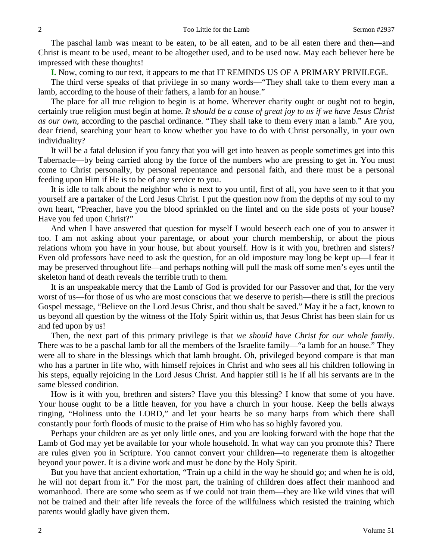The paschal lamb was meant to be eaten, to be all eaten, and to be all eaten there and then—and Christ is meant to be used, meant to be altogether used, and to be used now. May each believer here be impressed with these thoughts!

**I.** Now, coming to our text, it appears to me that IT REMINDS US OF A PRIMARY PRIVILEGE.

The third verse speaks of that privilege in so many words—"They shall take to them every man a lamb, according to the house of their fathers, a lamb for an house."

The place for all true religion to begin is at home. Wherever charity ought or ought not to begin, certainly true religion must begin at home. *It should be a cause of great joy to us if we have Jesus Christ as our own,* according to the paschal ordinance. "They shall take to them every man a lamb." Are you, dear friend, searching your heart to know whether you have to do with Christ personally, in your own individuality?

It will be a fatal delusion if you fancy that you will get into heaven as people sometimes get into this Tabernacle—by being carried along by the force of the numbers who are pressing to get in. You must come to Christ personally, by personal repentance and personal faith, and there must be a personal feeding upon Him if He is to be of any service to you.

It is idle to talk about the neighbor who is next to you until, first of all, you have seen to it that you yourself are a partaker of the Lord Jesus Christ. I put the question now from the depths of my soul to my own heart, "Preacher, have you the blood sprinkled on the lintel and on the side posts of your house? Have you fed upon Christ?"

And when I have answered that question for myself I would beseech each one of you to answer it too. I am not asking about your parentage, or about your church membership, or about the pious relations whom you have in your house, but about yourself. How is it with you, brethren and sisters? Even old professors have need to ask the question, for an old imposture may long be kept up—I fear it may be preserved throughout life—and perhaps nothing will pull the mask off some men's eyes until the skeleton hand of death reveals the terrible truth to them.

It is an unspeakable mercy that the Lamb of God is provided for our Passover and that, for the very worst of us—for those of us who are most conscious that we deserve to perish—there is still the precious Gospel message, "Believe on the Lord Jesus Christ, and thou shalt be saved." May it be a fact, known to us beyond all question by the witness of the Holy Spirit within us, that Jesus Christ has been slain for us and fed upon by us!

Then, the next part of this primary privilege is that *we should have Christ for our whole family*. There was to be a paschal lamb for all the members of the Israelite family—"a lamb for an house." They were all to share in the blessings which that lamb brought. Oh, privileged beyond compare is that man who has a partner in life who, with himself rejoices in Christ and who sees all his children following in his steps, equally rejoicing in the Lord Jesus Christ. And happier still is he if all his servants are in the same blessed condition.

How is it with you, brethren and sisters? Have you this blessing? I know that some of you have. Your house ought to be a little heaven, for you have a church in your house. Keep the bells always ringing, "Holiness unto the LORD," and let your hearts be so many harps from which there shall constantly pour forth floods of music to the praise of Him who has so highly favored you.

Perhaps your children are as yet only little ones, and you are looking forward with the hope that the Lamb of God may yet be available for your whole household. In what way can you promote this? There are rules given you in Scripture. You cannot convert your children—to regenerate them is altogether beyond your power. It is a divine work and must be done by the Holy Spirit.

But you have that ancient exhortation, "Train up a child in the way he should go; and when he is old, he will not depart from it." For the most part, the training of children does affect their manhood and womanhood. There are some who seem as if we could not train them—they are like wild vines that will not be trained and their after life reveals the force of the willfulness which resisted the training which parents would gladly have given them.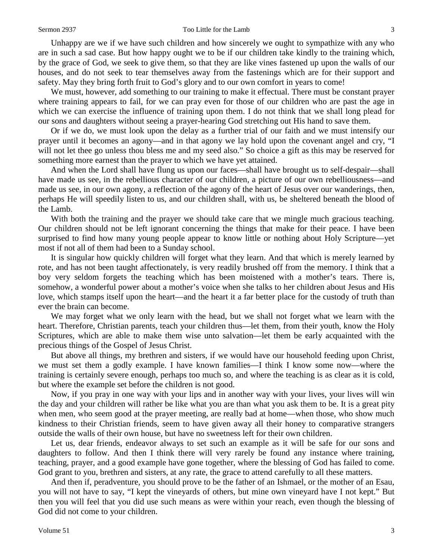## Sermon 2937 Too Little for the Lamb 3

Unhappy are we if we have such children and how sincerely we ought to sympathize with any who are in such a sad case. But how happy ought we to be if our children take kindly to the training which, by the grace of God, we seek to give them, so that they are like vines fastened up upon the walls of our houses, and do not seek to tear themselves away from the fastenings which are for their support and safety. May they bring forth fruit to God's glory and to our own comfort in years to come!

We must, however, add something to our training to make it effectual. There must be constant prayer where training appears to fail, for we can pray even for those of our children who are past the age in which we can exercise the influence of training upon them. I do not think that we shall long plead for our sons and daughters without seeing a prayer-hearing God stretching out His hand to save them.

Or if we do, we must look upon the delay as a further trial of our faith and we must intensify our prayer until it becomes an agony—and in that agony we lay hold upon the covenant angel and cry, "I will not let thee go unless thou bless me and my seed also." So choice a gift as this may be reserved for something more earnest than the prayer to which we have yet attained.

And when the Lord shall have flung us upon our faces—shall have brought us to self-despair—shall have made us see, in the rebellious character of our children, a picture of our own rebelliousness—and made us see, in our own agony, a reflection of the agony of the heart of Jesus over our wanderings, then, perhaps He will speedily listen to us, and our children shall, with us, be sheltered beneath the blood of the Lamb.

With both the training and the prayer we should take care that we mingle much gracious teaching. Our children should not be left ignorant concerning the things that make for their peace. I have been surprised to find how many young people appear to know little or nothing about Holy Scripture—yet most if not all of them had been to a Sunday school.

It is singular how quickly children will forget what they learn. And that which is merely learned by rote, and has not been taught affectionately, is very readily brushed off from the memory. I think that a boy very seldom forgets the teaching which has been moistened with a mother's tears. There is, somehow, a wonderful power about a mother's voice when she talks to her children about Jesus and His love, which stamps itself upon the heart—and the heart it a far better place for the custody of truth than ever the brain can become.

We may forget what we only learn with the head, but we shall not forget what we learn with the heart. Therefore, Christian parents, teach your children thus—let them, from their youth, know the Holy Scriptures, which are able to make them wise unto salvation—let them be early acquainted with the precious things of the Gospel of Jesus Christ.

But above all things, my brethren and sisters, if we would have our household feeding upon Christ, we must set them a godly example. I have known families—I think I know some now—where the training is certainly severe enough, perhaps too much so, and where the teaching is as clear as it is cold, but where the example set before the children is not good.

Now, if you pray in one way with your lips and in another way with your lives, your lives will win the day and your children will rather be like what you are than what you ask them to be. It is a great pity when men, who seem good at the prayer meeting, are really bad at home—when those, who show much kindness to their Christian friends, seem to have given away all their honey to comparative strangers outside the walls of their own house, but have no sweetness left for their own children.

Let us, dear friends, endeavor always to set such an example as it will be safe for our sons and daughters to follow. And then I think there will very rarely be found any instance where training, teaching, prayer, and a good example have gone together, where the blessing of God has failed to come. God grant to you, brethren and sisters, at any rate, the grace to attend carefully to all these matters.

And then if, peradventure, you should prove to be the father of an Ishmael, or the mother of an Esau, you will not have to say, "I kept the vineyards of others, but mine own vineyard have I not kept." But then you will feel that you did use such means as were within your reach, even though the blessing of God did not come to your children.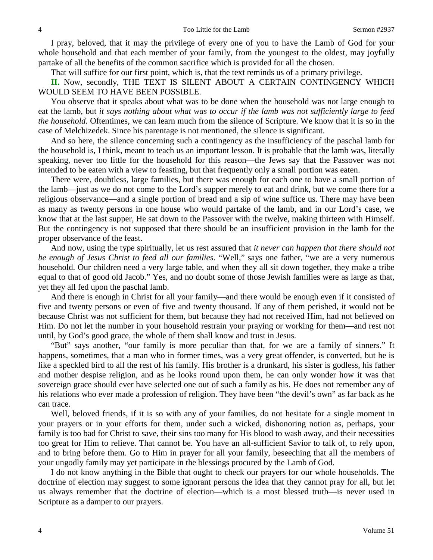I pray, beloved, that it may the privilege of every one of you to have the Lamb of God for your whole household and that each member of your family, from the youngest to the oldest, may joyfully partake of all the benefits of the common sacrifice which is provided for all the chosen.

That will suffice for our first point, which is, that the text reminds us of a primary privilege.

II. Now, secondly, THE TEXT IS SILENT ABOUT A CERTAIN CONTINGENCY WHICH WOULD SEEM TO HAVE BEEN POSSIBLE.

You observe that it speaks about what was to be done when the household was not large enough to eat the lamb, but *it says nothing about what was to occur if the lamb was not sufficiently large to feed the household.* Oftentimes, we can learn much from the silence of Scripture. We know that it is so in the case of Melchizedek. Since his parentage is not mentioned, the silence is significant.

And so here, the silence concerning such a contingency as the insufficiency of the paschal lamb for the household is, I think, meant to teach us an important lesson. It is probable that the lamb was, literally speaking, never too little for the household for this reason—the Jews say that the Passover was not intended to be eaten with a view to feasting, but that frequently only a small portion was eaten.

There were, doubtless, large families, but there was enough for each one to have a small portion of the lamb—just as we do not come to the Lord's supper merely to eat and drink, but we come there for a religious observance—and a single portion of bread and a sip of wine suffice us. There may have been as many as twenty persons in one house who would partake of the lamb, and in our Lord's case, we know that at the last supper, He sat down to the Passover with the twelve, making thirteen with Himself. But the contingency is not supposed that there should be an insufficient provision in the lamb for the proper observance of the feast.

And now, using the type spiritually, let us rest assured that *it never can happen that there should not be enough of Jesus Christ to feed all our families*. "Well," says one father, "we are a very numerous household. Our children need a very large table, and when they all sit down together, they make a tribe equal to that of good old Jacob." Yes, and no doubt some of those Jewish families were as large as that, yet they all fed upon the paschal lamb.

And there is enough in Christ for all your family—and there would be enough even if it consisted of five and twenty persons or even of five and twenty thousand. If any of them perished, it would not be because Christ was not sufficient for them, but because they had not received Him, had not believed on Him. Do not let the number in your household restrain your praying or working for them—and rest not until, by God's good grace, the whole of them shall know and trust in Jesus.

"But" says another, "our family is more peculiar than that, for we are a family of sinners." It happens, sometimes, that a man who in former times, was a very great offender, is converted, but he is like a speckled bird to all the rest of his family. His brother is a drunkard, his sister is godless, his father and mother despise religion, and as he looks round upon them, he can only wonder how it was that sovereign grace should ever have selected one out of such a family as his. He does not remember any of his relations who ever made a profession of religion. They have been "the devil's own" as far back as he can trace.

Well, beloved friends, if it is so with any of your families, do not hesitate for a single moment in your prayers or in your efforts for them, under such a wicked, dishonoring notion as, perhaps, your family is too bad for Christ to save, their sins too many for His blood to wash away, and their necessities too great for Him to relieve. That cannot be. You have an all-sufficient Savior to talk of, to rely upon, and to bring before them. Go to Him in prayer for all your family, beseeching that all the members of your ungodly family may yet participate in the blessings procured by the Lamb of God.

I do not know anything in the Bible that ought to check our prayers for our whole households. The doctrine of election may suggest to some ignorant persons the idea that they cannot pray for all, but let us always remember that the doctrine of election—which is a most blessed truth—is never used in Scripture as a damper to our prayers.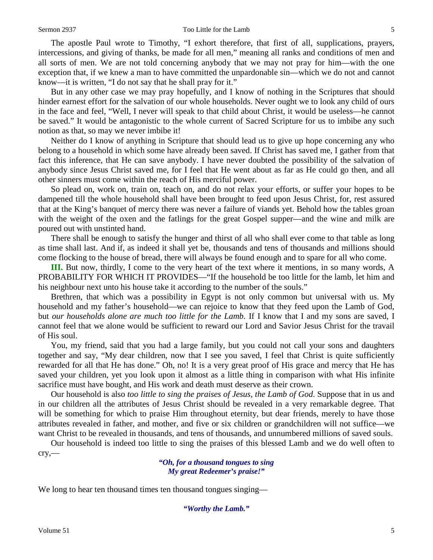The apostle Paul wrote to Timothy, "I exhort therefore, that first of all, supplications, prayers, intercessions, and giving of thanks, be made for all men," meaning all ranks and conditions of men and all sorts of men. We are not told concerning anybody that we may not pray for him—with the one exception that, if we knew a man to have committed the unpardonable sin—which we do not and cannot know—it is written, "I do not say that he shall pray for it."

But in any other case we may pray hopefully, and I know of nothing in the Scriptures that should hinder earnest effort for the salvation of our whole households. Never ought we to look any child of ours in the face and feel, "Well, I never will speak to that child about Christ, it would be useless—he cannot be saved." It would be antagonistic to the whole current of Sacred Scripture for us to imbibe any such notion as that, so may we never imbibe it!

Neither do I know of anything in Scripture that should lead us to give up hope concerning any who belong to a household in which some have already been saved. If Christ has saved me, I gather from that fact this inference, that He can save anybody. I have never doubted the possibility of the salvation of anybody since Jesus Christ saved me, for I feel that He went about as far as He could go then, and all other sinners must come within the reach of His merciful power.

So plead on, work on, train on, teach on, and do not relax your efforts, or suffer your hopes to be dampened till the whole household shall have been brought to feed upon Jesus Christ, for, rest assured that at the King's banquet of mercy there was never a failure of viands yet. Behold how the tables groan with the weight of the oxen and the fatlings for the great Gospel supper—and the wine and milk are poured out with unstinted hand.

There shall be enough to satisfy the hunger and thirst of all who shall ever come to that table as long as time shall last. And if, as indeed it shall yet be, thousands and tens of thousands and millions should come flocking to the house of bread, there will always be found enough and to spare for all who come.

**III.** But now, thirdly, I come to the very heart of the text where it mentions, in so many words, A PROBABILITY FOR WHICH IT PROVIDES—"If the household be too little for the lamb, let him and his neighbour next unto his house take it according to the number of the souls."

Brethren, that which was a possibility in Egypt is not only common but universal with us. My household and my father's household—we can rejoice to know that they feed upon the Lamb of God, but *our households alone are much too little for the Lamb*. If I know that I and my sons are saved, I cannot feel that we alone would be sufficient to reward our Lord and Savior Jesus Christ for the travail of His soul.

You, my friend, said that you had a large family, but you could not call your sons and daughters together and say, "My dear children, now that I see you saved, I feel that Christ is quite sufficiently rewarded for all that He has done." Oh, no! It is a very great proof of His grace and mercy that He has saved your children, yet you look upon it almost as a little thing in comparison with what His infinite sacrifice must have bought, and His work and death must deserve as their crown.

Our household is also *too little to sing the praises of Jesus, the Lamb of God*. Suppose that in us and in our children all the attributes of Jesus Christ should be revealed in a very remarkable degree. That will be something for which to praise Him throughout eternity, but dear friends, merely to have those attributes revealed in father, and mother, and five or six children or grandchildren will not suffice—we want Christ to be revealed in thousands, and tens of thousands, and unnumbered millions of saved souls.

Our household is indeed too little to sing the praises of this blessed Lamb and we do well often to cry,—

> *"Oh, for a thousand tongues to sing My great Redeemer's praise!"*

We long to hear ten thousand times ten thousand tongues singing—

*"Worthy the Lamb."*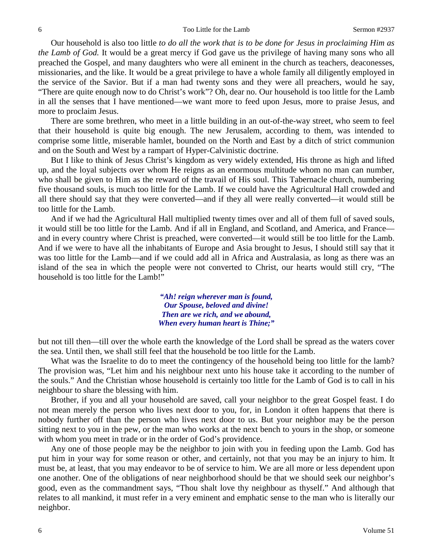Our household is also too little *to do all the work that is to be done for Jesus in proclaiming Him as the Lamb of God.* It would be a great mercy if God gave us the privilege of having many sons who all preached the Gospel, and many daughters who were all eminent in the church as teachers, deaconesses, missionaries, and the like. It would be a great privilege to have a whole family all diligently employed in the service of the Savior. But if a man had twenty sons and they were all preachers, would he say, "There are quite enough now to do Christ's work"? Oh, dear no. Our household is too little for the Lamb in all the senses that I have mentioned—we want more to feed upon Jesus, more to praise Jesus, and more to proclaim Jesus.

There are some brethren, who meet in a little building in an out-of-the-way street, who seem to feel that their household is quite big enough. The new Jerusalem, according to them, was intended to comprise some little, miserable hamlet, bounded on the North and East by a ditch of strict communion and on the South and West by a rampart of Hyper-Calvinistic doctrine.

But I like to think of Jesus Christ's kingdom as very widely extended, His throne as high and lifted up, and the loyal subjects over whom He reigns as an enormous multitude whom no man can number, who shall be given to Him as the reward of the travail of His soul. This Tabernacle church, numbering five thousand souls, is much too little for the Lamb. If we could have the Agricultural Hall crowded and all there should say that they were converted—and if they all were really converted—it would still be too little for the Lamb.

And if we had the Agricultural Hall multiplied twenty times over and all of them full of saved souls, it would still be too little for the Lamb. And if all in England, and Scotland, and America, and France and in every country where Christ is preached, were converted—it would still be too little for the Lamb. And if we were to have all the inhabitants of Europe and Asia brought to Jesus, I should still say that it was too little for the Lamb—and if we could add all in Africa and Australasia, as long as there was an island of the sea in which the people were not converted to Christ, our hearts would still cry, "The household is too little for the Lamb!"

> *"Ah! reign wherever man is found, Our Spouse, beloved and divine! Then are we rich, and we abound, When every human heart is Thine;"*

but not till then—till over the whole earth the knowledge of the Lord shall be spread as the waters cover the sea. Until then, we shall still feel that the household be too little for the Lamb.

What was the Israelite to do to meet the contingency of the household being too little for the lamb? The provision was, "Let him and his neighbour next unto his house take it according to the number of the souls." And the Christian whose household is certainly too little for the Lamb of God is to call in his neighbour to share the blessing with him.

Brother, if you and all your household are saved, call your neighbor to the great Gospel feast. I do not mean merely the person who lives next door to you, for, in London it often happens that there is nobody further off than the person who lives next door to us. But your neighbor may be the person sitting next to you in the pew, or the man who works at the next bench to yours in the shop, or someone with whom you meet in trade or in the order of God's providence.

Any one of those people may be the neighbor to join with you in feeding upon the Lamb. God has put him in your way for some reason or other, and certainly, not that you may be an injury to him. It must be, at least, that you may endeavor to be of service to him. We are all more or less dependent upon one another. One of the obligations of near neighborhood should be that we should seek our neighbor's good, even as the commandment says, "Thou shalt love thy neighbour as thyself." And although that relates to all mankind, it must refer in a very eminent and emphatic sense to the man who is literally our neighbor.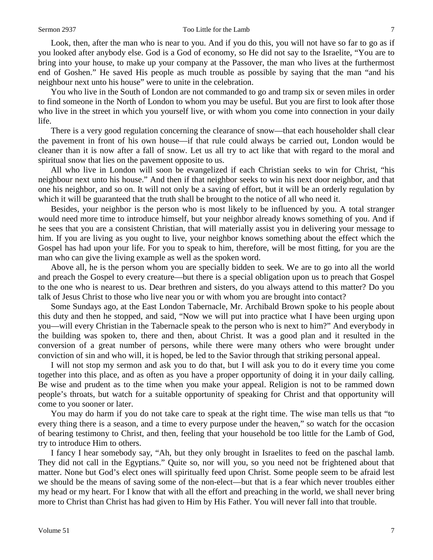Look, then, after the man who is near to you. And if you do this, you will not have so far to go as if you looked after anybody else. God is a God of economy, so He did not say to the Israelite, "You are to bring into your house, to make up your company at the Passover, the man who lives at the furthermost end of Goshen." He saved His people as much trouble as possible by saying that the man "and his neighbour next unto his house" were to unite in the celebration.

You who live in the South of London are not commanded to go and tramp six or seven miles in order to find someone in the North of London to whom you may be useful. But you are first to look after those who live in the street in which you yourself live, or with whom you come into connection in your daily life.

There is a very good regulation concerning the clearance of snow—that each householder shall clear the pavement in front of his own house—if that rule could always be carried out, London would be cleaner than it is now after a fall of snow. Let us all try to act like that with regard to the moral and spiritual snow that lies on the pavement opposite to us.

All who live in London will soon be evangelized if each Christian seeks to win for Christ, "his neighbour next unto his house." And then if that neighbor seeks to win his next door neighbor, and that one his neighbor, and so on. It will not only be a saving of effort, but it will be an orderly regulation by which it will be guaranteed that the truth shall be brought to the notice of all who need it.

Besides, your neighbor is the person who is most likely to be influenced by you. A total stranger would need more time to introduce himself, but your neighbor already knows something of you. And if he sees that you are a consistent Christian, that will materially assist you in delivering your message to him. If you are living as you ought to live, your neighbor knows something about the effect which the Gospel has had upon your life. For you to speak to him, therefore, will be most fitting, for you are the man who can give the living example as well as the spoken word.

Above all, he is the person whom you are specially bidden to seek. We are to go into all the world and preach the Gospel to every creature—but there is a special obligation upon us to preach that Gospel to the one who is nearest to us. Dear brethren and sisters, do you always attend to this matter? Do you talk of Jesus Christ to those who live near you or with whom you are brought into contact?

Some Sundays ago, at the East London Tabernacle, Mr. Archibald Brown spoke to his people about this duty and then he stopped, and said, "Now we will put into practice what I have been urging upon you—will every Christian in the Tabernacle speak to the person who is next to him?" And everybody in the building was spoken to, there and then, about Christ. It was a good plan and it resulted in the conversion of a great number of persons, while there were many others who were brought under conviction of sin and who will, it is hoped, be led to the Savior through that striking personal appeal.

I will not stop my sermon and ask you to do that, but I will ask you to do it every time you come together into this place, and as often as you have a proper opportunity of doing it in your daily calling. Be wise and prudent as to the time when you make your appeal. Religion is not to be rammed down people's throats, but watch for a suitable opportunity of speaking for Christ and that opportunity will come to you sooner or later.

You may do harm if you do not take care to speak at the right time. The wise man tells us that "to every thing there is a season, and a time to every purpose under the heaven," so watch for the occasion of bearing testimony to Christ, and then, feeling that your household be too little for the Lamb of God, try to introduce Him to others.

I fancy I hear somebody say, "Ah, but they only brought in Israelites to feed on the paschal lamb. They did not call in the Egyptians." Quite so, nor will you, so you need not be frightened about that matter. None but God's elect ones will spiritually feed upon Christ. Some people seem to be afraid lest we should be the means of saving some of the non-elect—but that is a fear which never troubles either my head or my heart. For I know that with all the effort and preaching in the world, we shall never bring more to Christ than Christ has had given to Him by His Father. You will never fall into that trouble.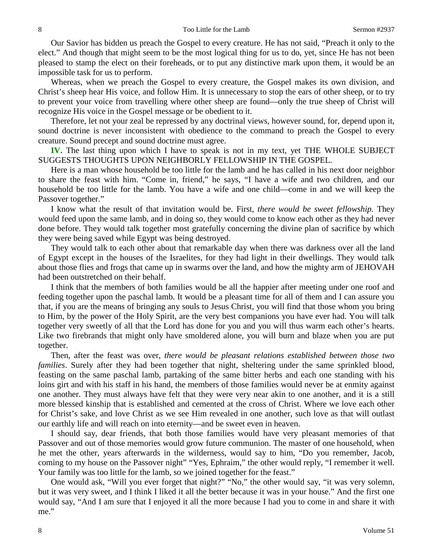Our Savior has bidden us preach the Gospel to every creature. He has not said, "Preach it only to the elect." And though that might seem to be the most logical thing for us to do, yet, since He has not been pleased to stamp the elect on their foreheads, or to put any distinctive mark upon them, it would be an impossible task for us to perform.

Whereas, when we preach the Gospel to every creature, the Gospel makes its own division, and Christ's sheep hear His voice, and follow Him. It is unnecessary to stop the ears of other sheep, or to try to prevent your voice from travelling where other sheep are found—only the true sheep of Christ will recognize His voice in the Gospel message or be obedient to it.

Therefore, let not your zeal be repressed by any doctrinal views, however sound, for, depend upon it, sound doctrine is never inconsistent with obedience to the command to preach the Gospel to every creature. Sound precept and sound doctrine must agree.

**IV.** The last thing upon which I have to speak is not in my text, yet THE WHOLE SUBJECT SUGGESTS THOUGHTS UPON NEIGHBORLY FELLOWSHIP IN THE GOSPEL.

Here is a man whose household be too little for the lamb and he has called in his next door neighbor to share the feast with him. "Come in, friend," he says, "I have a wife and two children, and our household be too little for the lamb. You have a wife and one child—come in and we will keep the Passover together."

I know what the result of that invitation would be. First, *there would be sweet fellowship.* They would feed upon the same lamb, and in doing so, they would come to know each other as they had never done before. They would talk together most gratefully concerning the divine plan of sacrifice by which they were being saved while Egypt was being destroyed.

They would talk to each other about that remarkable day when there was darkness over all the land of Egypt except in the houses of the Israelites, for they had light in their dwellings. They would talk about those flies and frogs that came up in swarms over the land, and how the mighty arm of JEHOVAH had been outstretched on their behalf.

I think that the members of both families would be all the happier after meeting under one roof and feeding together upon the paschal lamb. It would be a pleasant time for all of them and I can assure you that, if you are the means of bringing any souls to Jesus Christ, you will find that those whom you bring to Him, by the power of the Holy Spirit, are the very best companions you have ever had. You will talk together very sweetly of all that the Lord has done for you and you will thus warm each other's hearts. Like two firebrands that might only have smoldered alone, you will burn and blaze when you are put together.

Then, after the feast was over, *there would be pleasant relations established between those two families*. Surely after they had been together that night, sheltering under the same sprinkled blood, feasting on the same paschal lamb, partaking of the same bitter herbs and each one standing with his loins girt and with his staff in his hand, the members of those families would never be at enmity against one another. They must always have felt that they were very near akin to one another, and it is a still more blessed kinship that is established and cemented at the cross of Christ. Where we love each other for Christ's sake, and love Christ as we see Him revealed in one another, such love as that will outlast our earthly life and will reach on into eternity—and be sweet even in heaven.

I should say, dear friends, that both those families would have very pleasant memories of that Passover and out of those memories would grow future communion. The master of one household, when he met the other, years afterwards in the wilderness, would say to him, "Do you remember, Jacob, coming to my house on the Passover night" "Yes, Ephraim," the other would reply, "I remember it well. Your family was too little for the lamb, so we joined together for the feast."

One would ask, "Will you ever forget that night?" "No," the other would say, "it was very solemn, but it was very sweet, and I think I liked it all the better because it was in your house." And the first one would say, "And I am sure that I enjoyed it all the more because I had you to come in and share it with me."